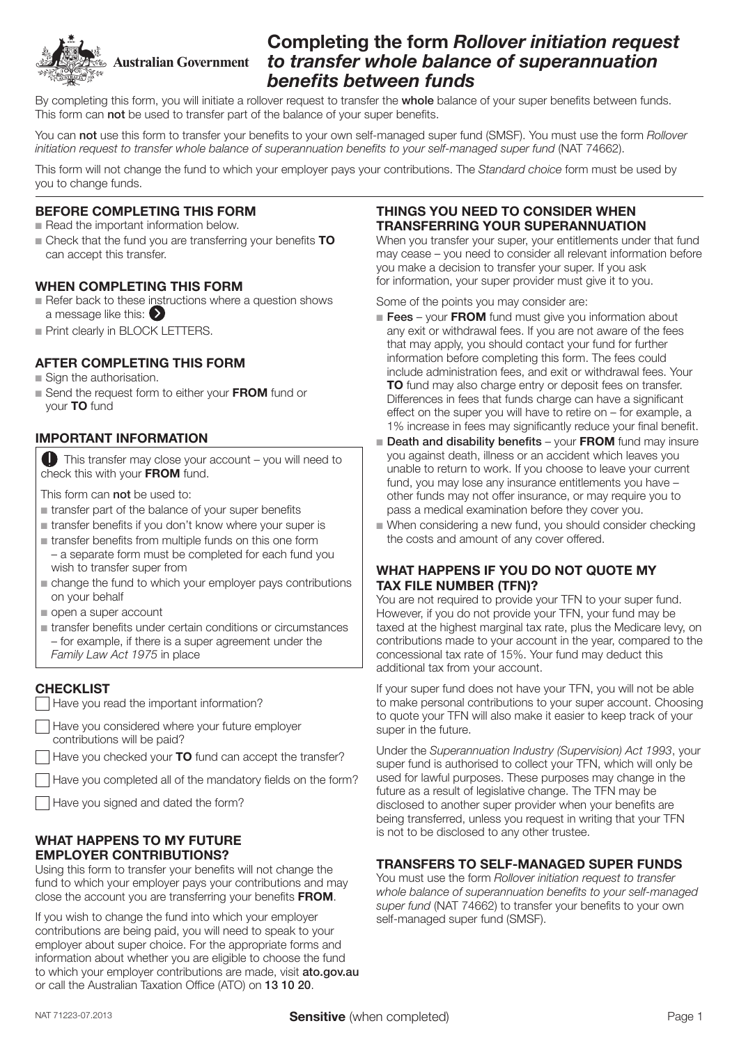

# Completing the form *Rollover initiation request to transfer whole balance of superannuation*  benefits between funds

By completing this form, you will initiate a rollover request to transfer the whole balance of your super benefits between funds. This form can not be used to transfer part of the balance of your super benefits.

You can not use this form to transfer your benefits to your own self-managed super fund (SMSF). You must use the form *Rollover initiation request to transfer whole balance of superannuation benefits to your self-managed super fund* (NAT 74662).

This form will not change the fund to which your employer pays your contributions. The *Standard choice* form must be used by you to change funds.

#### BEFORE COMPLETING THIS FORM

- $n$  Read the important information below.
- $\blacksquare$  Check that the fund you are transferring your benefits  $\blacksquare$ can accept this transfer.

#### WHEN COMPLETING THIS FORM

- Refer back to these instructions where a question shows a message like this:
- **Print clearly in BLOCK LETTERS.**

## AFTER COMPLETING THIS FORM

- $\blacksquare$  Sign the authorisation.
- Send the request form to either your FROM fund or your TO fund

## IMPORTANT INFORMATION

This transfer may close your account – you will need to check this with your FROM fund.

This form can **not** be used to:

- $\blacksquare$  transfer part of the balance of your super benefits
- $\blacksquare$  transfer benefits if you don't know where your super is
- $\blacksquare$  transfer benefits from multiple funds on this one form – a separate form must be completed for each fund you
- wish to transfer super from  $\blacksquare$  change the fund to which your employer pays contributions on your behalf
- $\blacksquare$  open a super account
- $\blacksquare$  transfer benefits under certain conditions or circumstances – for example, if there is a super agreement under the *Family Law Act 1975* in place

## **CHECKLIST**

- Have you read the important information?
- Have you considered where your future employer contributions will be paid?
- Have you checked your **TO** fund can accept the transfer?
- Have you completed all of the mandatory fields on the form?
- Have you signed and dated the form?

#### WHAT HAPPENS TO MY FUTURE EMPLOYER CONTRIBUTIONS?

Using this form to transfer your benefits will not change the fund to which your employer pays your contributions and may close the account you are transferring your benefits FROM.

If you wish to change the fund into which your employer contributions are being paid, you will need to speak to your employer about super choice. For the appropriate forms and information about whether you are eligible to choose the fund to which your employer contributions are made, visit ato.gov.au or call the Australian Taxation Office (ATO) on 13 10 20.

#### THINGS YOU NEED TO CONSIDER WHEN TRANSFERRING YOUR SUPERANNUATION

When you transfer your super, your entitlements under that fund may cease – you need to consider all relevant information before you make a decision to transfer your super. If you ask for information, your super provider must give it to you.

Some of the points you may consider are:

- $\blacksquare$  Fees your FROM fund must give you information about any exit or withdrawal fees. If you are not aware of the fees that may apply, you should contact your fund for further information before completing this form. The fees could include administration fees, and exit or withdrawal fees. Your TO fund may also charge entry or deposit fees on transfer. Differences in fees that funds charge can have a significant effect on the super you will have to retire on – for example, a 1% increase in fees may significantly reduce your final benefit.
- $\blacksquare$  Death and disability benefits your FROM fund may insure you against death, illness or an accident which leaves you unable to return to work. If you choose to leave your current fund, you may lose any insurance entitlements you have – other funds may not offer insurance, or may require you to pass a medical examination before they cover you.
- $\blacksquare$  When considering a new fund, you should consider checking the costs and amount of any cover offered.

#### WHAT HAPPENS IF YOU DO NOT QUOTE MY TAX FILE NUMBER (TFN)?

You are not required to provide your TFN to your super fund. However, if you do not provide your TFN, your fund may be taxed at the highest marginal tax rate, plus the Medicare levy, on contributions made to your account in the year, compared to the concessional tax rate of 15%. Your fund may deduct this additional tax from your account.

If your super fund does not have your TFN, you will not be able to make personal contributions to your super account. Choosing to quote your TFN will also make it easier to keep track of your super in the future.

Under the *Superannuation Industry (Supervision) Act 1993*, your super fund is authorised to collect your TFN, which will only be used for lawful purposes. These purposes may change in the future as a result of legislative change. The TFN may be disclosed to another super provider when your benefits are being transferred, unless you request in writing that your TFN is not to be disclosed to any other trustee.

#### TRANSFERS TO SELF‑MANAGED SUPER FUNDS

You must use the form *Rollover initiation request to transfer whole balance of superannuation benefits to your self-managed super fund* (NAT 74662) to transfer your benefits to your own self-managed super fund (SMSF).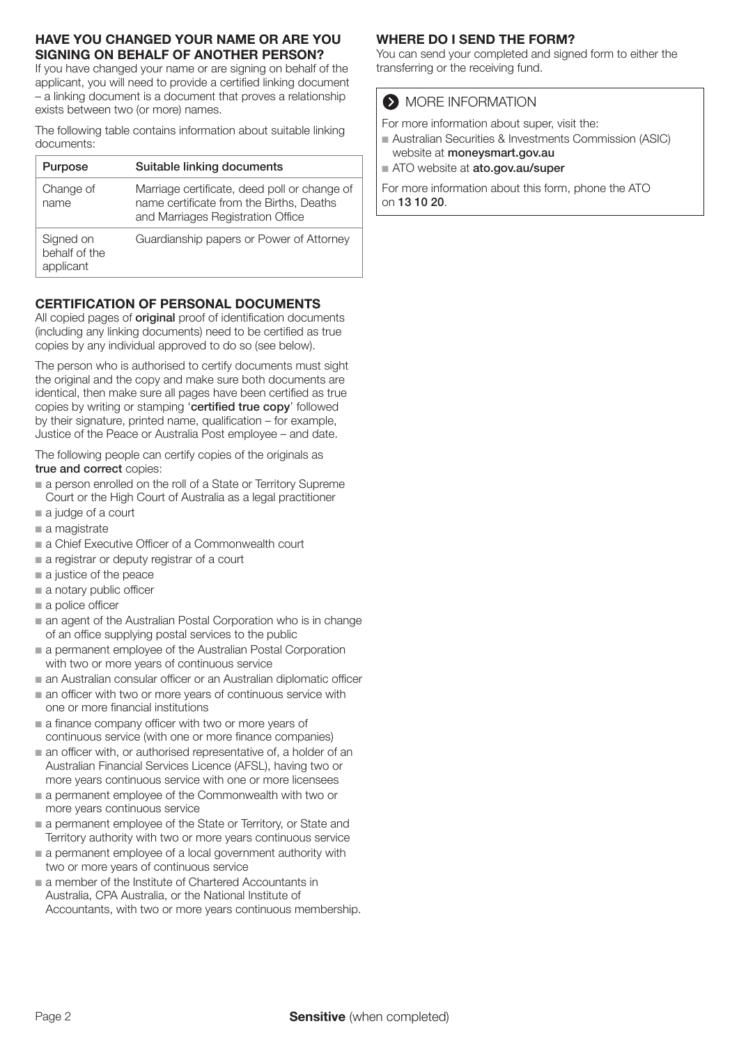## HAVE YOU CHANGED YOUR NAME OR ARE YOU SIGNING ON BEHALF OF ANOTHER PERSON?

If you have changed your name or are signing on behalf of the applicant, you will need to provide a certified linking document – a linking document is a document that proves a relationship exists between two (or more) names.

The following table contains information about suitable linking documents:

| Purpose                                 | Suitable linking documents                                                                                                    |
|-----------------------------------------|-------------------------------------------------------------------------------------------------------------------------------|
| Change of<br>name                       | Marriage certificate, deed poll or change of<br>name certificate from the Births, Deaths<br>and Marriages Registration Office |
| Signed on<br>behalf of the<br>applicant | Guardianship papers or Power of Attorney                                                                                      |

# CERTIFICATION OF PERSONAL DOCUMENTS

All copied pages of **original** proof of identification documents (including any linking documents) need to be certified as true copies by any individual approved to do so (see below).

The person who is authorised to certify documents must sight the original and the copy and make sure both documents are identical, then make sure all pages have been certified as true copies by writing or stamping 'certified true copy' followed by their signature, printed name, qualification – for example, Justice of the Peace or Australia Post employee – and date.

The following people can certify copies of the originals as true and correct copies:

- n a person enrolled on the roll of a State or Territory Supreme Court or the High Court of Australia as a legal practitioner
- $\blacksquare$  a judge of a court
- $a$  magistrate
- n a Chief Executive Officer of a Commonwealth court
- $\blacksquare$  a registrar or deputy registrar of a court
- $\blacksquare$  a justice of the peace
- $\blacksquare$  a notary public officer
- $\blacksquare$  a police officer
- $\blacksquare$  an agent of the Australian Postal Corporation who is in change of an office supplying postal services to the public
- a permanent employee of the Australian Postal Corporation with two or more years of continuous service
- $\blacksquare$  an Australian consular officer or an Australian diplomatic officer
- $\blacksquare$  an officer with two or more years of continuous service with one or more financial institutions
- $\blacksquare$  a finance company officer with two or more years of continuous service (with one or more finance companies)
- $\blacksquare$  an officer with, or authorised representative of, a holder of an Australian Financial Services Licence (AFSL), having two or more years continuous service with one or more licensees
- $a$  permanent employee of the Commonwealth with two or more years continuous service
- $\blacksquare$  a permanent employee of the State or Territory, or State and Territory authority with two or more years continuous service
- $a$  permanent employee of a local government authority with two or more years of continuous service
- a member of the Institute of Chartered Accountants in Australia, CPA Australia, or the National Institute of Accountants, with two or more years continuous membership.

# WHERE DO I SEND THE FORM?

You can send your completed and signed form to either the transferring or the receiving fund.

# **MORE INFORMATION**

For more information about super, visit the:

- Australian Securities & Investments Commission (ASIC) website at moneysmart.gov.au
- ATO website at ato.gov.au/super

For more information about this form, phone the ATO on 13 10 20.